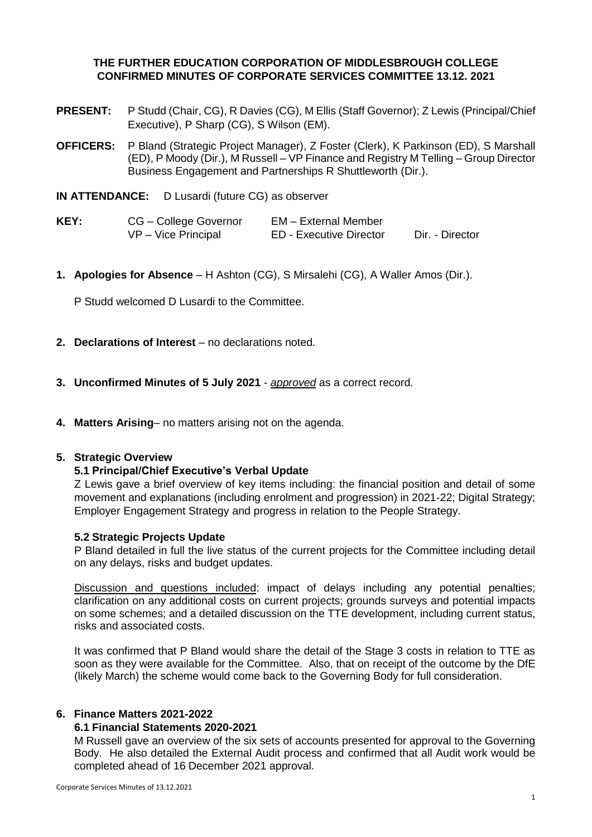# **THE FURTHER EDUCATION CORPORATION OF MIDDLESBROUGH COLLEGE CONFIRMED MINUTES OF CORPORATE SERVICES COMMITTEE 13.12. 2021**

- **PRESENT:** P Studd (Chair, CG), R Davies (CG), M Ellis (Staff Governor); Z Lewis (Principal/Chief Executive), P Sharp (CG), S Wilson (EM).
- **OFFICERS:** P Bland (Strategic Project Manager), Z Foster (Clerk), K Parkinson (ED), S Marshall (ED), P Moody (Dir.), M Russell – VP Finance and Registry M Telling – Group Director Business Engagement and Partnerships R Shuttleworth (Dir.).
- **IN ATTENDANCE:** D Lusardi (future CG) as observer
- **KEY:** CG College Governor EM External Member VP – Vice Principal ED - Executive Director Dir. - Director
- **1. Apologies for Absence** H Ashton (CG), S Mirsalehi (CG), A Waller Amos (Dir.).

P Studd welcomed D Lusardi to the Committee.

- **2. Declarations of Interest** no declarations noted.
- **3. Unconfirmed Minutes of 5 July 2021** *approved* as a correct record.
- **4. Matters Arising** no matters arising not on the agenda.

### **5. Strategic Overview**

### **5.1 Principal/Chief Executive's Verbal Update**

Z Lewis gave a brief overview of key items including: the financial position and detail of some movement and explanations (including enrolment and progression) in 2021-22; Digital Strategy; Employer Engagement Strategy and progress in relation to the People Strategy.

### **5.2 Strategic Projects Update**

P Bland detailed in full the live status of the current projects for the Committee including detail on any delays, risks and budget updates.

Discussion and questions included: impact of delays including any potential penalties; clarification on any additional costs on current projects; grounds surveys and potential impacts on some schemes; and a detailed discussion on the TTE development, including current status, risks and associated costs.

It was confirmed that P Bland would share the detail of the Stage 3 costs in relation to TTE as soon as they were available for the Committee. Also, that on receipt of the outcome by the DfE (likely March) the scheme would come back to the Governing Body for full consideration.

### **6. Finance Matters 2021-2022**

### **6.1 Financial Statements 2020-2021**

M Russell gave an overview of the six sets of accounts presented for approval to the Governing Body. He also detailed the External Audit process and confirmed that all Audit work would be completed ahead of 16 December 2021 approval.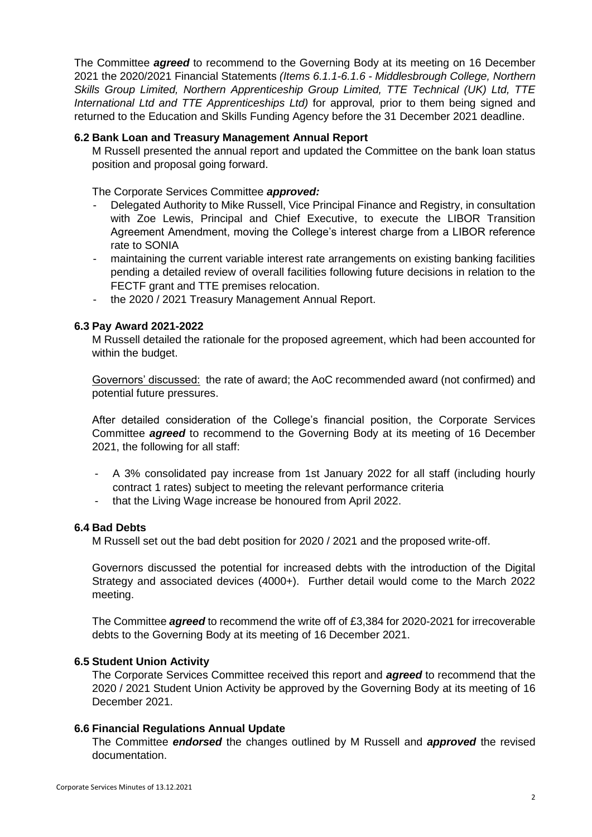The Committee *agreed* to recommend to the Governing Body at its meeting on 16 December 2021 the 2020/2021 Financial Statements *(Items 6.1.1-6.1.6 - Middlesbrough College, Northern Skills Group Limited, Northern Apprenticeship Group Limited, TTE Technical (UK) Ltd, TTE International Ltd and TTE Apprenticeships Ltd)* for approval*,* prior to them being signed and returned to the Education and Skills Funding Agency before the 31 December 2021 deadline.

## **6.2 Bank Loan and Treasury Management Annual Report**

M Russell presented the annual report and updated the Committee on the bank loan status position and proposal going forward.

The Corporate Services Committee *approved:*

- Delegated Authority to Mike Russell, Vice Principal Finance and Registry, in consultation with Zoe Lewis, Principal and Chief Executive, to execute the LIBOR Transition Agreement Amendment, moving the College's interest charge from a LIBOR reference rate to SONIA
- maintaining the current variable interest rate arrangements on existing banking facilities pending a detailed review of overall facilities following future decisions in relation to the FECTF grant and TTE premises relocation.
- the 2020 / 2021 Treasury Management Annual Report.

## **6.3 Pay Award 2021-2022**

M Russell detailed the rationale for the proposed agreement, which had been accounted for within the budget.

Governors' discussed: the rate of award; the AoC recommended award (not confirmed) and potential future pressures.

After detailed consideration of the College's financial position, the Corporate Services Committee *agreed* to recommend to the Governing Body at its meeting of 16 December 2021, the following for all staff:

- A 3% consolidated pay increase from 1st January 2022 for all staff (including hourly contract 1 rates) subject to meeting the relevant performance criteria
- that the Living Wage increase be honoured from April 2022.

### **6.4 Bad Debts**

M Russell set out the bad debt position for 2020 / 2021 and the proposed write-off.

Governors discussed the potential for increased debts with the introduction of the Digital Strategy and associated devices (4000+). Further detail would come to the March 2022 meeting.

The Committee *agreed* to recommend the write off of £3,384 for 2020-2021 for irrecoverable debts to the Governing Body at its meeting of 16 December 2021.

### **6.5 Student Union Activity**

The Corporate Services Committee received this report and *agreed* to recommend that the 2020 / 2021 Student Union Activity be approved by the Governing Body at its meeting of 16 December 2021.

### **6.6 Financial Regulations Annual Update**

The Committee *endorsed* the changes outlined by M Russell and *approved* the revised documentation.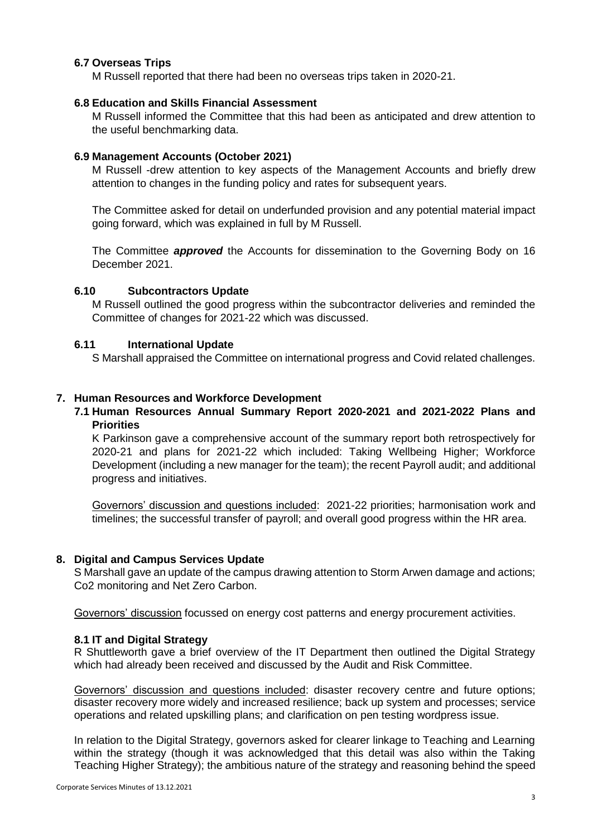## **6.7 Overseas Trips**

M Russell reported that there had been no overseas trips taken in 2020-21.

### **6.8 Education and Skills Financial Assessment**

M Russell informed the Committee that this had been as anticipated and drew attention to the useful benchmarking data.

## **6.9 Management Accounts (October 2021)**

M Russell -drew attention to key aspects of the Management Accounts and briefly drew attention to changes in the funding policy and rates for subsequent years.

The Committee asked for detail on underfunded provision and any potential material impact going forward, which was explained in full by M Russell.

The Committee *approved* the Accounts for dissemination to the Governing Body on 16 December 2021.

## **6.10 Subcontractors Update**

M Russell outlined the good progress within the subcontractor deliveries and reminded the Committee of changes for 2021-22 which was discussed.

## **6.11 International Update**

S Marshall appraised the Committee on international progress and Covid related challenges.

## **7. Human Resources and Workforce Development**

## **7.1 Human Resources Annual Summary Report 2020-2021 and 2021-2022 Plans and Priorities**

K Parkinson gave a comprehensive account of the summary report both retrospectively for 2020-21 and plans for 2021-22 which included: Taking Wellbeing Higher; Workforce Development (including a new manager for the team); the recent Payroll audit; and additional progress and initiatives.

Governors' discussion and questions included: 2021-22 priorities; harmonisation work and timelines; the successful transfer of payroll; and overall good progress within the HR area.

### **8. Digital and Campus Services Update**

S Marshall gave an update of the campus drawing attention to Storm Arwen damage and actions; Co2 monitoring and Net Zero Carbon.

Governors' discussion focussed on energy cost patterns and energy procurement activities.

## **8.1 IT and Digital Strategy**

R Shuttleworth gave a brief overview of the IT Department then outlined the Digital Strategy which had already been received and discussed by the Audit and Risk Committee.

Governors' discussion and questions included: disaster recovery centre and future options; disaster recovery more widely and increased resilience; back up system and processes; service operations and related upskilling plans; and clarification on pen testing wordpress issue.

In relation to the Digital Strategy, governors asked for clearer linkage to Teaching and Learning within the strategy (though it was acknowledged that this detail was also within the Taking Teaching Higher Strategy); the ambitious nature of the strategy and reasoning behind the speed